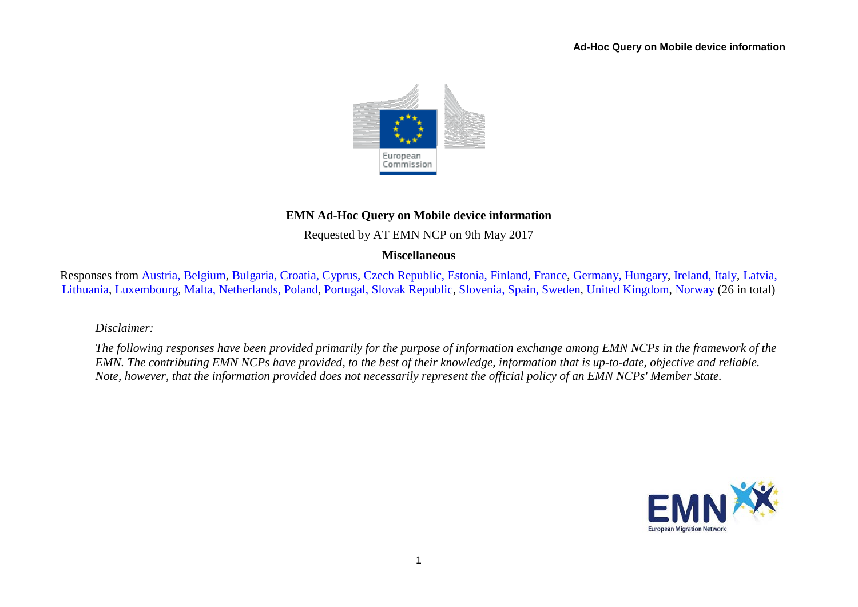

# **EMN Ad-Hoc Query on Mobile device information**

Requested by AT EMN NCP on 9th May 2017

## **Miscellaneous**

Responses from [Austria,](#page-1-0) [Belgium,](#page-1-1) [Bulgaria,](#page-2-0) [Croatia, Cyprus,](#page-2-1) [Czech Republic,](#page-3-0) [Estonia,](#page-3-1) [Finland, France,](#page-3-2) [Germany,](#page-4-0) [Hungary,](#page-4-1) [Ireland,](#page-5-0) [Italy,](#page-5-1) [Latvia,](#page-5-2)  [Lithuania,](#page-5-3) [Luxembourg,](#page-5-4) [Malta,](#page-6-0) [Netherlands,](#page-6-1) [Poland,](#page-7-0) [Portugal,](#page-7-1) [Slovak Republic,](#page-7-2) [Slovenia,](#page-7-3) [Spain,](#page-8-0) [Sweden,](#page-8-1) [United Kingdom,](#page-8-2) [Norway](#page-8-3) (26 in total)

*Disclaimer:* 

*The following responses have been provided primarily for the purpose of information exchange among EMN NCPs in the framework of the EMN. The contributing EMN NCPs have provided, to the best of their knowledge, information that is up-to-date, objective and reliable. Note, however, that the information provided does not necessarily represent the official policy of an EMN NCPs' Member State.*

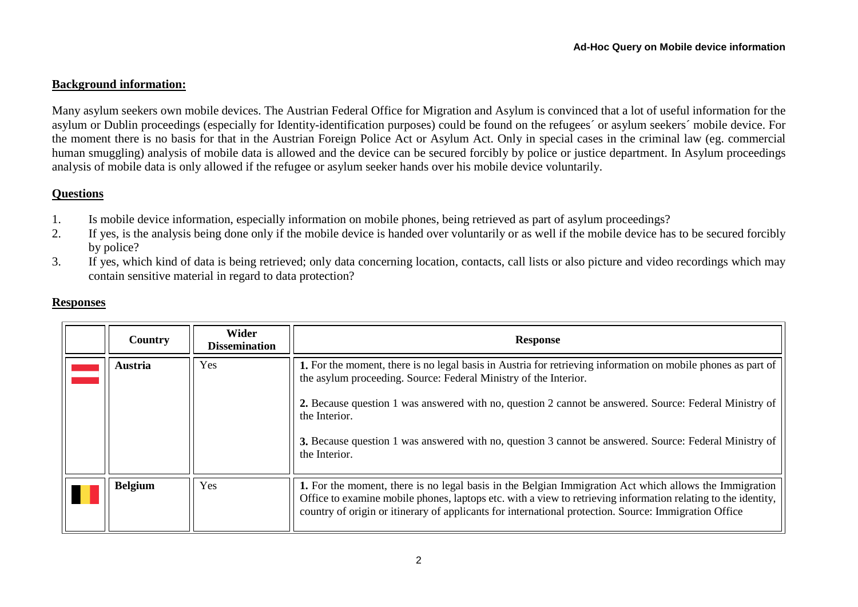#### **Background information:**

Many asylum seekers own mobile devices. The Austrian Federal Office for Migration and Asylum is convinced that a lot of useful information for the asylum or Dublin proceedings (especially for Identity-identification purposes) could be found on the refugees´ or asylum seekers´ mobile device. For the moment there is no basis for that in the Austrian Foreign Police Act or Asylum Act. Only in special cases in the criminal law (eg. commercial human smuggling) analysis of mobile data is allowed and the device can be secured forcibly by police or justice department. In Asylum proceedings analysis of mobile data is only allowed if the refugee or asylum seeker hands over his mobile device voluntarily.

#### **Questions**

- 1. Is mobile device information, especially information on mobile phones, being retrieved as part of asylum proceedings?
- 2. If yes, is the analysis being done only if the mobile device is handed over voluntarily or as well if the mobile device has to be secured forcibly by police?
- 3. If yes, which kind of data is being retrieved; only data concerning location, contacts, call lists or also picture and video recordings which may contain sensitive material in regard to data protection?

<span id="page-1-1"></span><span id="page-1-0"></span>

| Country        | <b>Wider</b><br><b>Dissemination</b> | <b>Response</b>                                                                                                                                                                                                                                                                                                                                                                                                                        |
|----------------|--------------------------------------|----------------------------------------------------------------------------------------------------------------------------------------------------------------------------------------------------------------------------------------------------------------------------------------------------------------------------------------------------------------------------------------------------------------------------------------|
| <b>Austria</b> | Yes                                  | 1. For the moment, there is no legal basis in Austria for retrieving information on mobile phones as part of<br>the asylum proceeding. Source: Federal Ministry of the Interior.<br>2. Because question 1 was answered with no, question 2 cannot be answered. Source: Federal Ministry of<br>the Interior.<br>3. Because question 1 was answered with no, question 3 cannot be answered. Source: Federal Ministry of<br>the Interior. |
| <b>Belgium</b> | Yes                                  | 1. For the moment, there is no legal basis in the Belgian Immigration Act which allows the Immigration<br>Office to examine mobile phones, laptops etc. with a view to retrieving information relating to the identity,<br>country of origin or itinerary of applicants for international protection. Source: Immigration Office                                                                                                       |

### **Responses**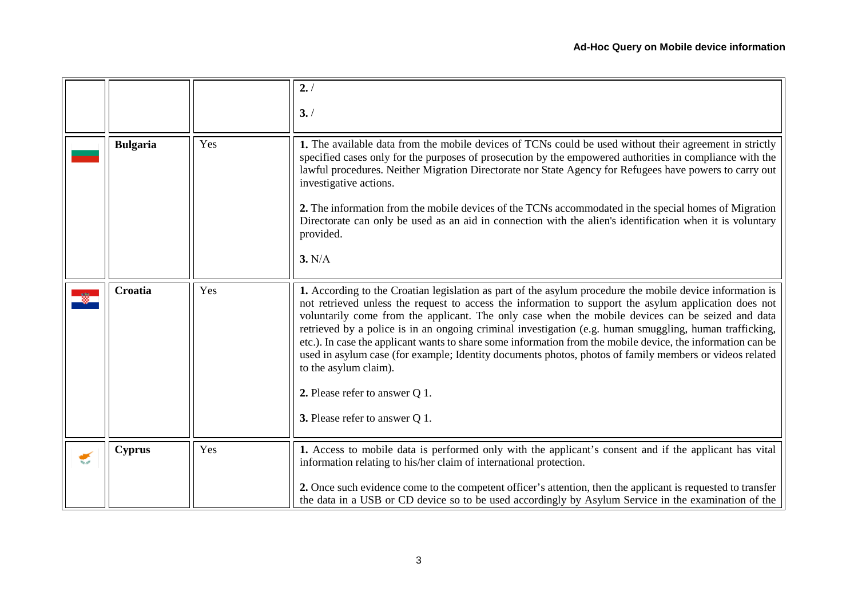<span id="page-2-1"></span><span id="page-2-0"></span>

|                      |                 |     | 2. /<br>3. /                                                                                                                                                                                                                                                                                                                                                                                                                                                                                                                                                                                                                                                                                                                                              |
|----------------------|-----------------|-----|-----------------------------------------------------------------------------------------------------------------------------------------------------------------------------------------------------------------------------------------------------------------------------------------------------------------------------------------------------------------------------------------------------------------------------------------------------------------------------------------------------------------------------------------------------------------------------------------------------------------------------------------------------------------------------------------------------------------------------------------------------------|
|                      | <b>Bulgaria</b> | Yes | 1. The available data from the mobile devices of TCNs could be used without their agreement in strictly<br>specified cases only for the purposes of prosecution by the empowered authorities in compliance with the<br>lawful procedures. Neither Migration Directorate nor State Agency for Refugees have powers to carry out<br>investigative actions.<br>2. The information from the mobile devices of the TCNs accommodated in the special homes of Migration<br>Directorate can only be used as an aid in connection with the alien's identification when it is voluntary<br>provided.<br>3. N/A                                                                                                                                                     |
|                      | Croatia         | Yes | 1. According to the Croatian legislation as part of the asylum procedure the mobile device information is<br>not retrieved unless the request to access the information to support the asylum application does not<br>voluntarily come from the applicant. The only case when the mobile devices can be seized and data<br>retrieved by a police is in an ongoing criminal investigation (e.g. human smuggling, human trafficking,<br>etc.). In case the applicant wants to share some information from the mobile device, the information can be<br>used in asylum case (for example; Identity documents photos, photos of family members or videos related<br>to the asylum claim).<br>2. Please refer to answer Q 1.<br>3. Please refer to answer Q 1. |
| $\blacktriangledown$ | <b>Cyprus</b>   | Yes | 1. Access to mobile data is performed only with the applicant's consent and if the applicant has vital<br>information relating to his/her claim of international protection.<br>2. Once such evidence come to the competent officer's attention, then the applicant is requested to transfer<br>the data in a USB or CD device so to be used accordingly by Asylum Service in the examination of the                                                                                                                                                                                                                                                                                                                                                      |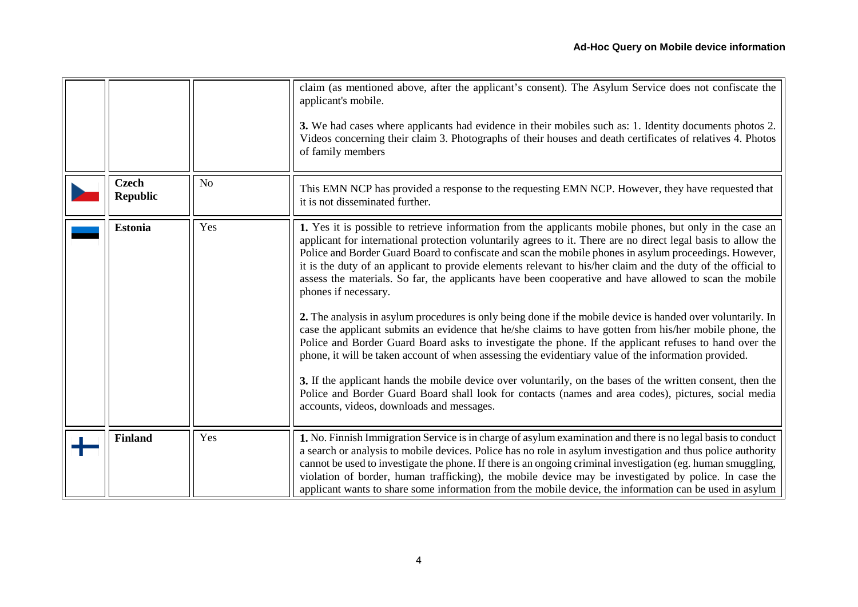<span id="page-3-2"></span><span id="page-3-1"></span><span id="page-3-0"></span>

|                                 |     | claim (as mentioned above, after the applicant's consent). The Asylum Service does not confiscate the<br>applicant's mobile.<br>3. We had cases where applicants had evidence in their mobiles such as: 1. Identity documents photos 2.<br>Videos concerning their claim 3. Photographs of their houses and death certificates of relatives 4. Photos<br>of family members                                                                                                                                                                                                                                                                                                                                                                                                                                                                                                                                                                                                                                                                                                                                                                                                                                                                                                                            |
|---------------------------------|-----|-------------------------------------------------------------------------------------------------------------------------------------------------------------------------------------------------------------------------------------------------------------------------------------------------------------------------------------------------------------------------------------------------------------------------------------------------------------------------------------------------------------------------------------------------------------------------------------------------------------------------------------------------------------------------------------------------------------------------------------------------------------------------------------------------------------------------------------------------------------------------------------------------------------------------------------------------------------------------------------------------------------------------------------------------------------------------------------------------------------------------------------------------------------------------------------------------------------------------------------------------------------------------------------------------------|
| <b>Czech</b><br><b>Republic</b> | No  | This EMN NCP has provided a response to the requesting EMN NCP. However, they have requested that<br>it is not disseminated further.                                                                                                                                                                                                                                                                                                                                                                                                                                                                                                                                                                                                                                                                                                                                                                                                                                                                                                                                                                                                                                                                                                                                                                  |
| <b>Estonia</b>                  | Yes | 1. Yes it is possible to retrieve information from the applicants mobile phones, but only in the case an<br>applicant for international protection voluntarily agrees to it. There are no direct legal basis to allow the<br>Police and Border Guard Board to confiscate and scan the mobile phones in asylum proceedings. However,<br>it is the duty of an applicant to provide elements relevant to his/her claim and the duty of the official to<br>assess the materials. So far, the applicants have been cooperative and have allowed to scan the mobile<br>phones if necessary.<br>2. The analysis in asylum procedures is only being done if the mobile device is handed over voluntarily. In<br>case the applicant submits an evidence that he/she claims to have gotten from his/her mobile phone, the<br>Police and Border Guard Board asks to investigate the phone. If the applicant refuses to hand over the<br>phone, it will be taken account of when assessing the evidentiary value of the information provided.<br>3. If the applicant hands the mobile device over voluntarily, on the bases of the written consent, then the<br>Police and Border Guard Board shall look for contacts (names and area codes), pictures, social media<br>accounts, videos, downloads and messages. |
| <b>Finland</b>                  | Yes | 1. No. Finnish Immigration Service is in charge of asylum examination and there is no legal basis to conduct<br>a search or analysis to mobile devices. Police has no role in asylum investigation and thus police authority<br>cannot be used to investigate the phone. If there is an ongoing criminal investigation (eg. human smuggling,<br>violation of border, human trafficking), the mobile device may be investigated by police. In case the<br>applicant wants to share some information from the mobile device, the information can be used in asylum                                                                                                                                                                                                                                                                                                                                                                                                                                                                                                                                                                                                                                                                                                                                      |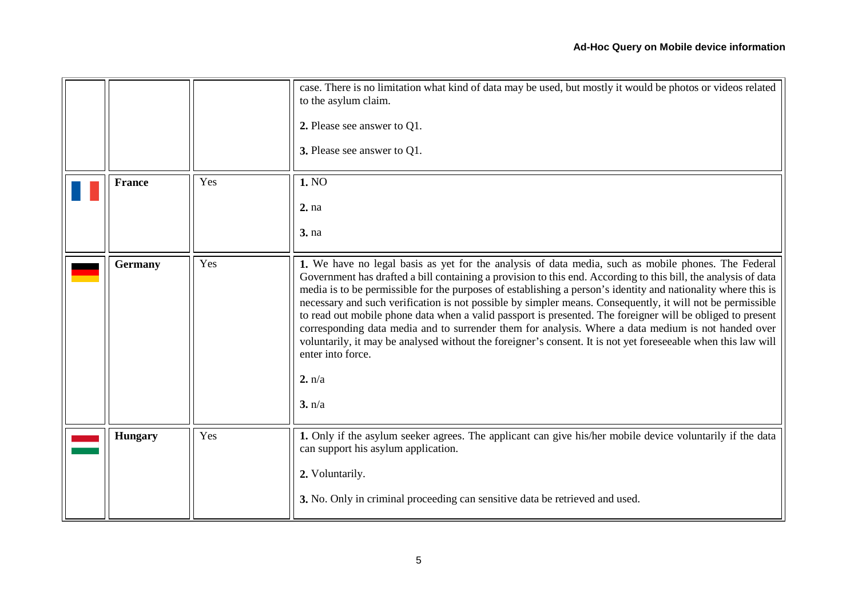<span id="page-4-1"></span><span id="page-4-0"></span>

|                |     | case. There is no limitation what kind of data may be used, but mostly it would be photos or videos related<br>to the asylum claim.<br>2. Please see answer to Q1.<br>3. Please see answer to Q1.                                                                                                                                                                                                                                                                                                                                                                                                                                                                                                                                                                                                                                   |
|----------------|-----|-------------------------------------------------------------------------------------------------------------------------------------------------------------------------------------------------------------------------------------------------------------------------------------------------------------------------------------------------------------------------------------------------------------------------------------------------------------------------------------------------------------------------------------------------------------------------------------------------------------------------------------------------------------------------------------------------------------------------------------------------------------------------------------------------------------------------------------|
| <b>France</b>  | Yes | 1. NO<br>2. na<br>3. na                                                                                                                                                                                                                                                                                                                                                                                                                                                                                                                                                                                                                                                                                                                                                                                                             |
| <b>Germany</b> | Yes | 1. We have no legal basis as yet for the analysis of data media, such as mobile phones. The Federal<br>Government has drafted a bill containing a provision to this end. According to this bill, the analysis of data<br>media is to be permissible for the purposes of establishing a person's identity and nationality where this is<br>necessary and such verification is not possible by simpler means. Consequently, it will not be permissible<br>to read out mobile phone data when a valid passport is presented. The foreigner will be obliged to present<br>corresponding data media and to surrender them for analysis. Where a data medium is not handed over<br>voluntarily, it may be analysed without the foreigner's consent. It is not yet foreseeable when this law will<br>enter into force.<br>2. n/a<br>3. n/a |
| <b>Hungary</b> | Yes | 1. Only if the asylum seeker agrees. The applicant can give his/her mobile device voluntarily if the data<br>can support his asylum application.<br>2. Voluntarily.<br>3. No. Only in criminal proceeding can sensitive data be retrieved and used.                                                                                                                                                                                                                                                                                                                                                                                                                                                                                                                                                                                 |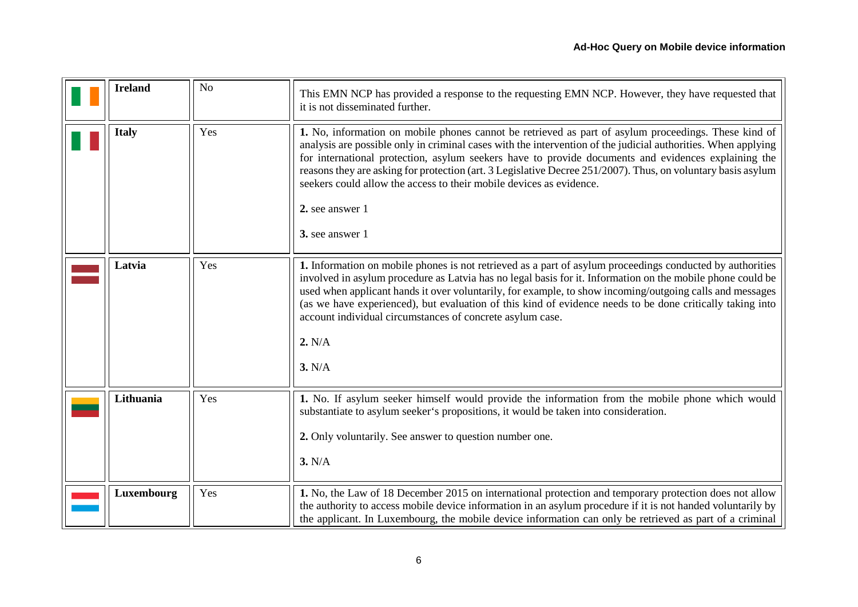<span id="page-5-4"></span><span id="page-5-3"></span><span id="page-5-2"></span><span id="page-5-1"></span><span id="page-5-0"></span>

| <b>Ireland</b> | N <sub>o</sub> | This EMN NCP has provided a response to the requesting EMN NCP. However, they have requested that<br>it is not disseminated further.                                                                                                                                                                                                                                                                                                                                                                                                                      |
|----------------|----------------|-----------------------------------------------------------------------------------------------------------------------------------------------------------------------------------------------------------------------------------------------------------------------------------------------------------------------------------------------------------------------------------------------------------------------------------------------------------------------------------------------------------------------------------------------------------|
| <b>Italy</b>   | Yes            | 1. No, information on mobile phones cannot be retrieved as part of asylum proceedings. These kind of<br>analysis are possible only in criminal cases with the intervention of the judicial authorities. When applying<br>for international protection, asylum seekers have to provide documents and evidences explaining the<br>reasons they are asking for protection (art. 3 Legislative Decree 251/2007). Thus, on voluntary basis asylum<br>seekers could allow the access to their mobile devices as evidence.<br>2. see answer 1<br>3. see answer 1 |
| Latvia         | Yes            | 1. Information on mobile phones is not retrieved as a part of asylum proceedings conducted by authorities<br>involved in asylum procedure as Latvia has no legal basis for it. Information on the mobile phone could be<br>used when applicant hands it over voluntarily, for example, to show incoming/outgoing calls and messages<br>(as we have experienced), but evaluation of this kind of evidence needs to be done critically taking into<br>account individual circumstances of concrete asylum case.<br>2. N/A<br>3. N/A                         |
| Lithuania      | Yes            | 1. No. If asylum seeker himself would provide the information from the mobile phone which would<br>substantiate to asylum seeker's propositions, it would be taken into consideration.<br>2. Only voluntarily. See answer to question number one.<br>3. N/A                                                                                                                                                                                                                                                                                               |
| Luxembourg     | Yes            | 1. No, the Law of 18 December 2015 on international protection and temporary protection does not allow<br>the authority to access mobile device information in an asylum procedure if it is not handed voluntarily by<br>the applicant. In Luxembourg, the mobile device information can only be retrieved as part of a criminal                                                                                                                                                                                                                          |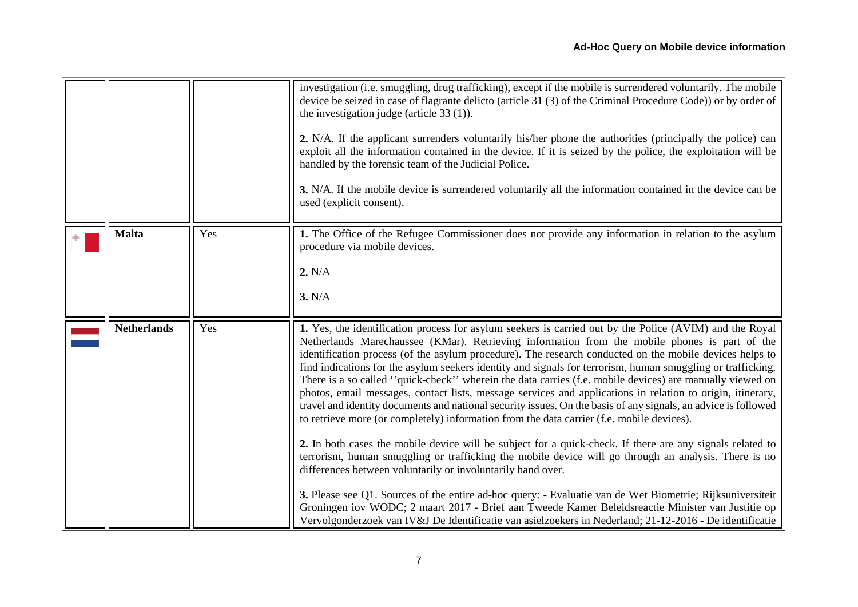<span id="page-6-1"></span><span id="page-6-0"></span>

|                    |     | investigation (i.e. smuggling, drug trafficking), except if the mobile is surrendered voluntarily. The mobile<br>device be seized in case of flagrante delicto (article 31 (3) of the Criminal Procedure Code)) or by order of<br>the investigation judge (article $33(1)$ ).<br>2. N/A. If the applicant surrenders voluntarily his/her phone the authorities (principally the police) can<br>exploit all the information contained in the device. If it is seized by the police, the exploitation will be<br>handled by the forensic team of the Judicial Police.<br>3. N/A. If the mobile device is surrendered voluntarily all the information contained in the device can be<br>used (explicit consent).                                                                                                                                                                                                                                                                                                                                                                                                                                                                                                                                                                                                                                                                                                                                                                                |
|--------------------|-----|----------------------------------------------------------------------------------------------------------------------------------------------------------------------------------------------------------------------------------------------------------------------------------------------------------------------------------------------------------------------------------------------------------------------------------------------------------------------------------------------------------------------------------------------------------------------------------------------------------------------------------------------------------------------------------------------------------------------------------------------------------------------------------------------------------------------------------------------------------------------------------------------------------------------------------------------------------------------------------------------------------------------------------------------------------------------------------------------------------------------------------------------------------------------------------------------------------------------------------------------------------------------------------------------------------------------------------------------------------------------------------------------------------------------------------------------------------------------------------------------|
| <b>Malta</b>       | Yes | 1. The Office of the Refugee Commissioner does not provide any information in relation to the asylum<br>procedure via mobile devices.<br>2. N/A<br>3. N/A                                                                                                                                                                                                                                                                                                                                                                                                                                                                                                                                                                                                                                                                                                                                                                                                                                                                                                                                                                                                                                                                                                                                                                                                                                                                                                                                    |
| <b>Netherlands</b> | Yes | 1. Yes, the identification process for asylum seekers is carried out by the Police (AVIM) and the Royal<br>Netherlands Marechaussee (KMar). Retrieving information from the mobile phones is part of the<br>identification process (of the asylum procedure). The research conducted on the mobile devices helps to<br>find indications for the asylum seekers identity and signals for terrorism, human smuggling or trafficking.<br>There is a so called "quick-check" wherein the data carries (f.e. mobile devices) are manually viewed on<br>photos, email messages, contact lists, message services and applications in relation to origin, itinerary,<br>travel and identity documents and national security issues. On the basis of any signals, an advice is followed<br>to retrieve more (or completely) information from the data carrier (f.e. mobile devices).<br>2. In both cases the mobile device will be subject for a quick-check. If there are any signals related to<br>terrorism, human smuggling or trafficking the mobile device will go through an analysis. There is no<br>differences between voluntarily or involuntarily hand over.<br>3. Please see Q1. Sources of the entire ad-hoc query: - Evaluatie van de Wet Biometrie; Rijksuniversiteit<br>Groningen iov WODC; 2 maart 2017 - Brief aan Tweede Kamer Beleidsreactie Minister van Justitie op<br>Vervolgonderzoek van IV&J De Identificatie van asielzoekers in Nederland; 21-12-2016 - De identificatie |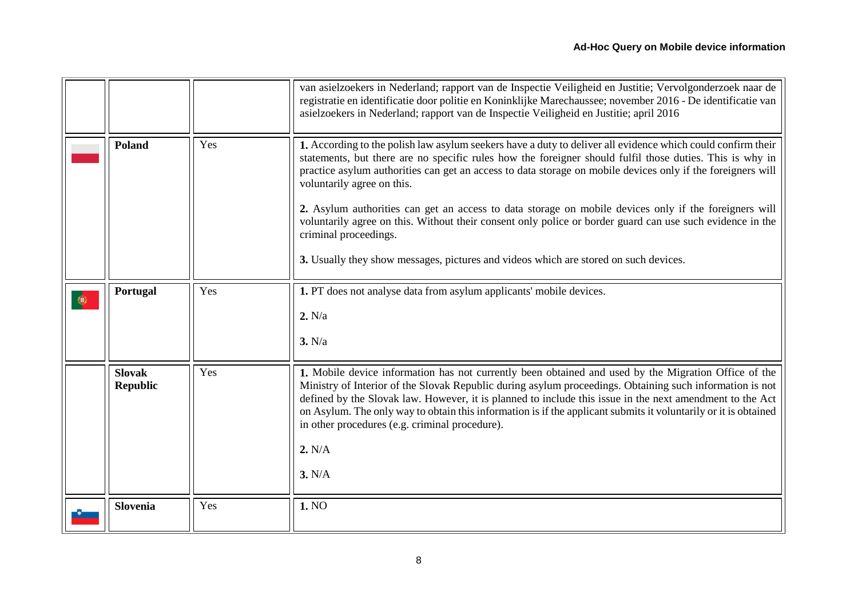<span id="page-7-3"></span><span id="page-7-2"></span><span id="page-7-1"></span><span id="page-7-0"></span>

|           |                                  |     | van asielzoekers in Nederland; rapport van de Inspectie Veiligheid en Justitie; Vervolgonderzoek naar de<br>registratie en identificatie door politie en Koninklijke Marechaussee; november 2016 - De identificatie van<br>asielzoekers in Nederland; rapport van de Inspectie Veiligheid en Justitie; april 2016                                                                                                                                                                                                                                                                                                                                                                                           |
|-----------|----------------------------------|-----|-------------------------------------------------------------------------------------------------------------------------------------------------------------------------------------------------------------------------------------------------------------------------------------------------------------------------------------------------------------------------------------------------------------------------------------------------------------------------------------------------------------------------------------------------------------------------------------------------------------------------------------------------------------------------------------------------------------|
|           | <b>Poland</b>                    | Yes | 1. According to the polish law asylum seekers have a duty to deliver all evidence which could confirm their<br>statements, but there are no specific rules how the foreigner should fulfil those duties. This is why in<br>practice asylum authorities can get an access to data storage on mobile devices only if the foreigners will<br>voluntarily agree on this.<br>2. Asylum authorities can get an access to data storage on mobile devices only if the foreigners will<br>voluntarily agree on this. Without their consent only police or border guard can use such evidence in the<br>criminal proceedings.<br>3. Usually they show messages, pictures and videos which are stored on such devices. |
| $\bullet$ | Portugal                         | Yes | 1. PT does not analyse data from asylum applicants' mobile devices.<br>2. N/a<br>3. N/a                                                                                                                                                                                                                                                                                                                                                                                                                                                                                                                                                                                                                     |
|           | <b>Slovak</b><br><b>Republic</b> | Yes | 1. Mobile device information has not currently been obtained and used by the Migration Office of the<br>Ministry of Interior of the Slovak Republic during asylum proceedings. Obtaining such information is not<br>defined by the Slovak law. However, it is planned to include this issue in the next amendment to the Act<br>on Asylum. The only way to obtain this information is if the applicant submits it voluntarily or it is obtained<br>in other procedures (e.g. criminal procedure).<br>2. N/A<br>3. N/A                                                                                                                                                                                       |
|           | <b>Slovenia</b>                  | Yes | 1. NO                                                                                                                                                                                                                                                                                                                                                                                                                                                                                                                                                                                                                                                                                                       |